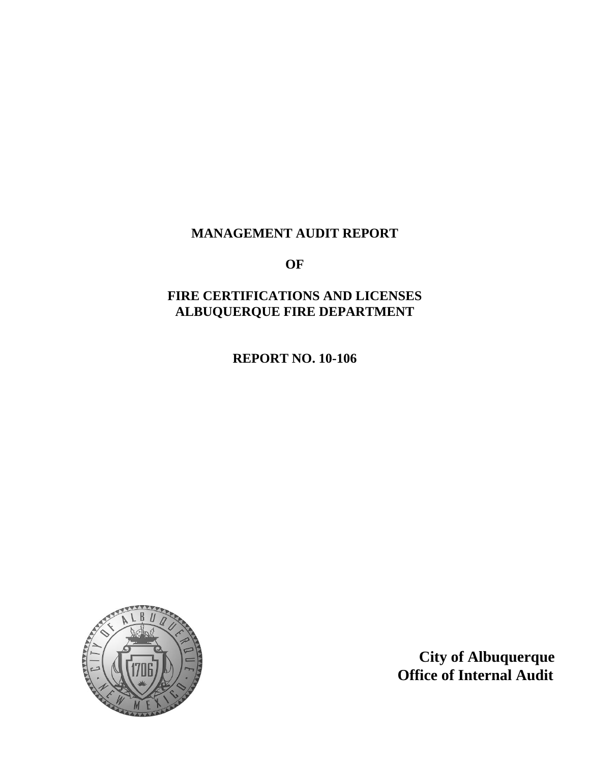# **MANAGEMENT AUDIT REPORT**

**OF**

# **FIRE CERTIFICATIONS AND LICENSES ALBUQUERQUE FIRE DEPARTMENT**

**REPORT NO. 10-106**



 **City of Albuquerque Office of Internal Audit**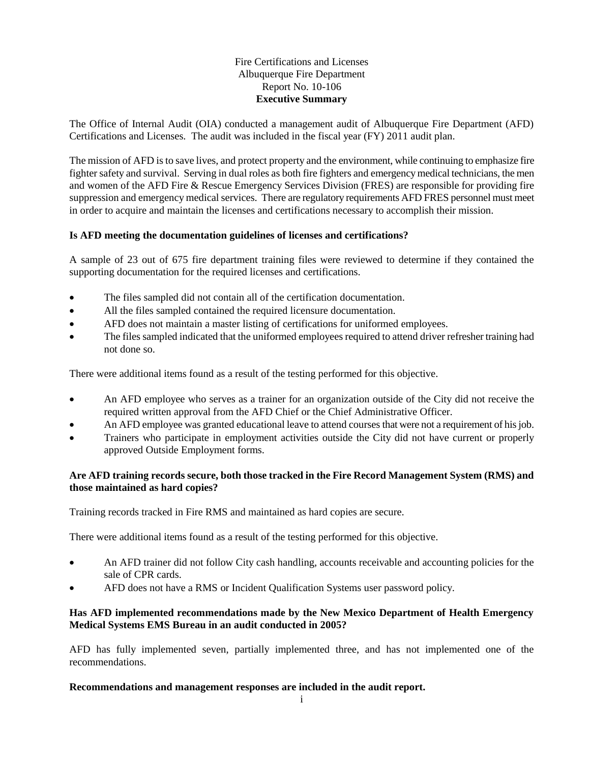#### Fire Certifications and Licenses Albuquerque Fire Department Report No. 10-106 **Executive Summary**

The Office of Internal Audit (OIA) conducted a management audit of Albuquerque Fire Department (AFD) Certifications and Licenses. The audit was included in the fiscal year (FY) 2011 audit plan.

The mission of AFD is to save lives, and protect property and the environment, while continuing to emphasize fire fighter safety and survival. Serving in dual roles as both fire fighters and emergency medical technicians, the men and women of the AFD Fire & Rescue Emergency Services Division (FRES) are responsible for providing fire suppression and emergency medical services. There are regulatory requirements AFD FRES personnel must meet in order to acquire and maintain the licenses and certifications necessary to accomplish their mission.

#### **Is AFD meeting the documentation guidelines of licenses and certifications?**

A sample of 23 out of 675 fire department training files were reviewed to determine if they contained the supporting documentation for the required licenses and certifications.

- The files sampled did not contain all of the certification documentation.
- All the files sampled contained the required licensure documentation.
- AFD does not maintain a master listing of certifications for uniformed employees.
- The files sampled indicated that the uniformed employees required to attend driver refresher training had not done so.

There were additional items found as a result of the testing performed for this objective.

- An AFD employee who serves as a trainer for an organization outside of the City did not receive the required written approval from the AFD Chief or the Chief Administrative Officer.
- An AFD employee was granted educational leave to attend courses that were not a requirement of his job.
- Trainers who participate in employment activities outside the City did not have current or properly approved Outside Employment forms.

## **Are AFD training records secure, both those tracked in the Fire Record Management System (RMS) and those maintained as hard copies?**

Training records tracked in Fire RMS and maintained as hard copies are secure.

There were additional items found as a result of the testing performed for this objective.

- An AFD trainer did not follow City cash handling, accounts receivable and accounting policies for the sale of CPR cards.
- AFD does not have a RMS or Incident Qualification Systems user password policy.

#### **Has AFD implemented recommendations made by the New Mexico Department of Health Emergency Medical Systems EMS Bureau in an audit conducted in 2005?**

AFD has fully implemented seven, partially implemented three, and has not implemented one of the recommendations.

#### **Recommendations and management responses are included in the audit report.**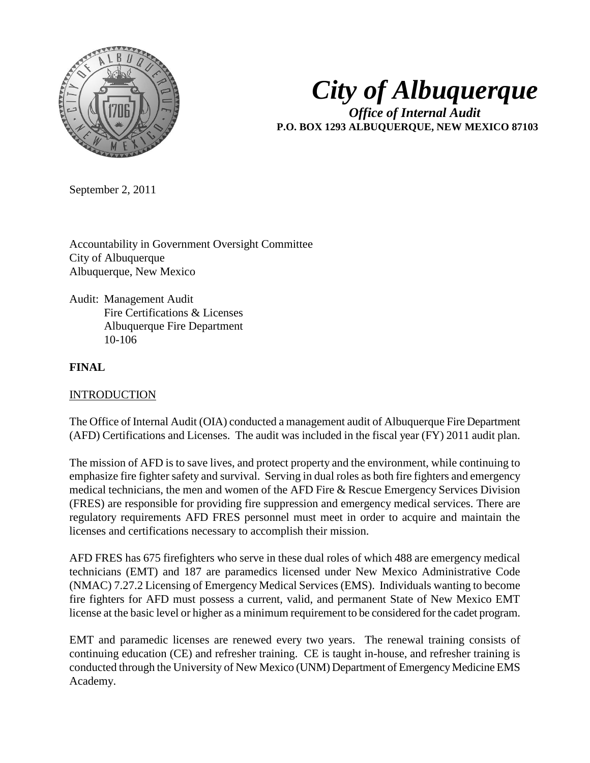

*City of Albuquerque*

 *Office of Internal Audit* **P.O. BOX 1293 ALBUQUERQUE, NEW MEXICO 87103**

September 2, 2011

Accountability in Government Oversight Committee City of Albuquerque Albuquerque, New Mexico

Audit: Management Audit Fire Certifications & Licenses Albuquerque Fire Department 10-106

## **FINAL**

## **INTRODUCTION**

The Office of Internal Audit (OIA) conducted a management audit of Albuquerque Fire Department (AFD) Certifications and Licenses. The audit was included in the fiscal year (FY) 2011 audit plan.

The mission of AFD is to save lives, and protect property and the environment, while continuing to emphasize fire fighter safety and survival. Serving in dual roles as both fire fighters and emergency medical technicians, the men and women of the AFD Fire & Rescue Emergency Services Division (FRES) are responsible for providing fire suppression and emergency medical services. There are regulatory requirements AFD FRES personnel must meet in order to acquire and maintain the licenses and certifications necessary to accomplish their mission.

AFD FRES has 675 firefighters who serve in these dual roles of which 488 are emergency medical technicians (EMT) and 187 are paramedics licensed under New Mexico Administrative Code (NMAC) 7.27.2 Licensing of Emergency Medical Services (EMS). Individuals wanting to become fire fighters for AFD must possess a current, valid, and permanent State of New Mexico EMT license at the basic level or higher as a minimum requirement to be considered for the cadet program.

EMT and paramedic licenses are renewed every two years. The renewal training consists of continuing education (CE) and refresher training. CE is taught in-house, and refresher training is conducted through the University of New Mexico (UNM) Department of Emergency Medicine EMS Academy.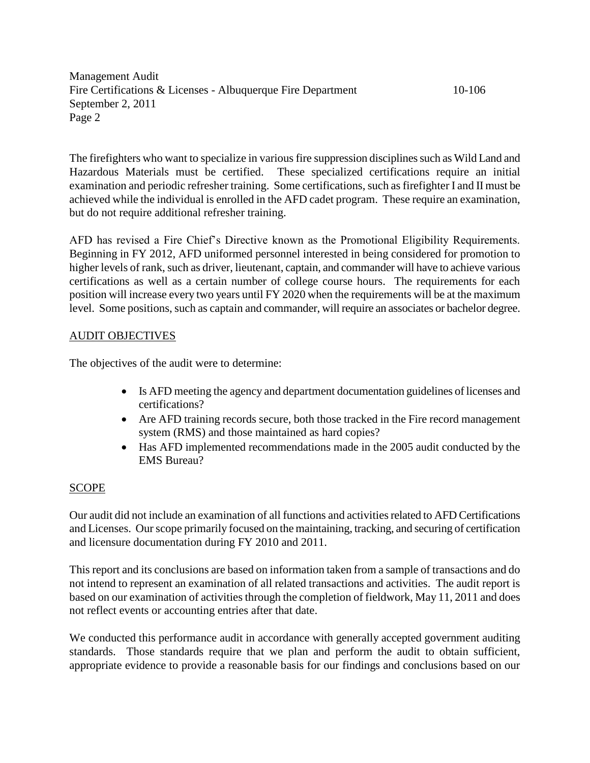The firefighters who want to specialize in various fire suppression disciplines such as Wild Land and Hazardous Materials must be certified. These specialized certifications require an initial examination and periodic refresher training. Some certifications, such as firefighter I and II must be achieved while the individual is enrolled in the AFD cadet program. These require an examination, but do not require additional refresher training.

AFD has revised a Fire Chief's Directive known as the Promotional Eligibility Requirements. Beginning in FY 2012, AFD uniformed personnel interested in being considered for promotion to higher levels of rank, such as driver, lieutenant, captain, and commander will have to achieve various certifications as well as a certain number of college course hours. The requirements for each position will increase every two years until FY 2020 when the requirements will be at the maximum level. Some positions, such as captain and commander, will require an associates or bachelor degree.

## AUDIT OBJECTIVES

The objectives of the audit were to determine:

- Is AFD meeting the agency and department documentation guidelines of licenses and certifications?
- Are AFD training records secure, both those tracked in the Fire record management system (RMS) and those maintained as hard copies?
- Has AFD implemented recommendations made in the 2005 audit conducted by the EMS Bureau?

## SCOPE

Our audit did not include an examination of all functions and activities related to AFD Certifications and Licenses. Our scope primarily focused on the maintaining, tracking, and securing of certification and licensure documentation during FY 2010 and 2011.

This report and its conclusions are based on information taken from a sample of transactions and do not intend to represent an examination of all related transactions and activities. The audit report is based on our examination of activities through the completion of fieldwork, May 11, 2011 and does not reflect events or accounting entries after that date.

We conducted this performance audit in accordance with generally accepted government auditing standards. Those standards require that we plan and perform the audit to obtain sufficient, appropriate evidence to provide a reasonable basis for our findings and conclusions based on our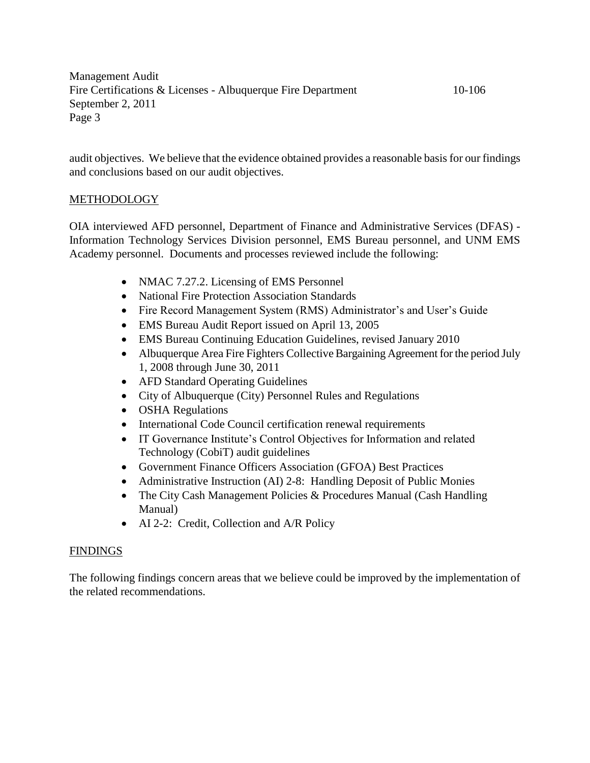audit objectives. We believe that the evidence obtained provides a reasonable basis for our findings and conclusions based on our audit objectives.

## METHODOLOGY

OIA interviewed AFD personnel, Department of Finance and Administrative Services (DFAS) - Information Technology Services Division personnel, EMS Bureau personnel, and UNM EMS Academy personnel. Documents and processes reviewed include the following:

- NMAC 7.27.2. Licensing of EMS Personnel
- National Fire Protection Association Standards
- Fire Record Management System (RMS) Administrator's and User's Guide
- EMS Bureau Audit Report issued on April 13, 2005
- EMS Bureau Continuing Education Guidelines, revised January 2010
- Albuquerque Area Fire Fighters Collective Bargaining Agreement for the period July 1, 2008 through June 30, 2011
- AFD Standard Operating Guidelines
- City of Albuquerque (City) Personnel Rules and Regulations
- OSHA Regulations
- International Code Council certification renewal requirements
- IT Governance Institute's Control Objectives for Information and related Technology (CobiT) audit guidelines
- Government Finance Officers Association (GFOA) Best Practices
- Administrative Instruction (AI) 2-8: Handling Deposit of Public Monies
- The City Cash Management Policies & Procedures Manual (Cash Handling) Manual)
- AI 2-2: Credit, Collection and A/R Policy

## FINDINGS

The following findings concern areas that we believe could be improved by the implementation of the related recommendations.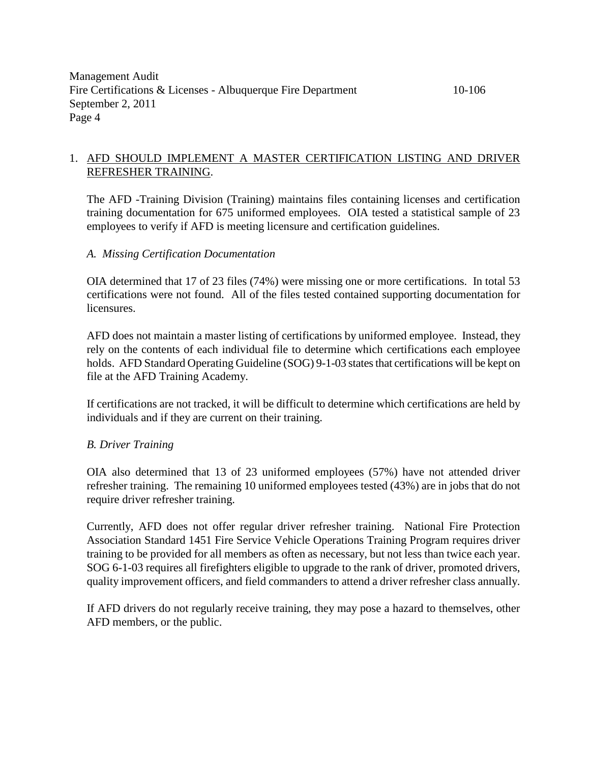## 1. AFD SHOULD IMPLEMENT A MASTER CERTIFICATION LISTING AND DRIVER REFRESHER TRAINING.

The AFD -Training Division (Training) maintains files containing licenses and certification training documentation for 675 uniformed employees. OIA tested a statistical sample of 23 employees to verify if AFD is meeting licensure and certification guidelines.

## *A. Missing Certification Documentation*

OIA determined that 17 of 23 files (74%) were missing one or more certifications. In total 53 certifications were not found. All of the files tested contained supporting documentation for licensures.

AFD does not maintain a master listing of certifications by uniformed employee. Instead, they rely on the contents of each individual file to determine which certifications each employee holds. AFD Standard Operating Guideline (SOG) 9-1-03 states that certifications will be kept on file at the AFD Training Academy.

If certifications are not tracked, it will be difficult to determine which certifications are held by individuals and if they are current on their training.

## *B. Driver Training*

OIA also determined that 13 of 23 uniformed employees (57%) have not attended driver refresher training. The remaining 10 uniformed employees tested (43%) are in jobs that do not require driver refresher training.

Currently, AFD does not offer regular driver refresher training. National Fire Protection Association Standard 1451 Fire Service Vehicle Operations Training Program requires driver training to be provided for all members as often as necessary, but not less than twice each year. SOG 6-1-03 requires all firefighters eligible to upgrade to the rank of driver, promoted drivers, quality improvement officers, and field commanders to attend a driver refresher class annually.

If AFD drivers do not regularly receive training, they may pose a hazard to themselves, other AFD members, or the public.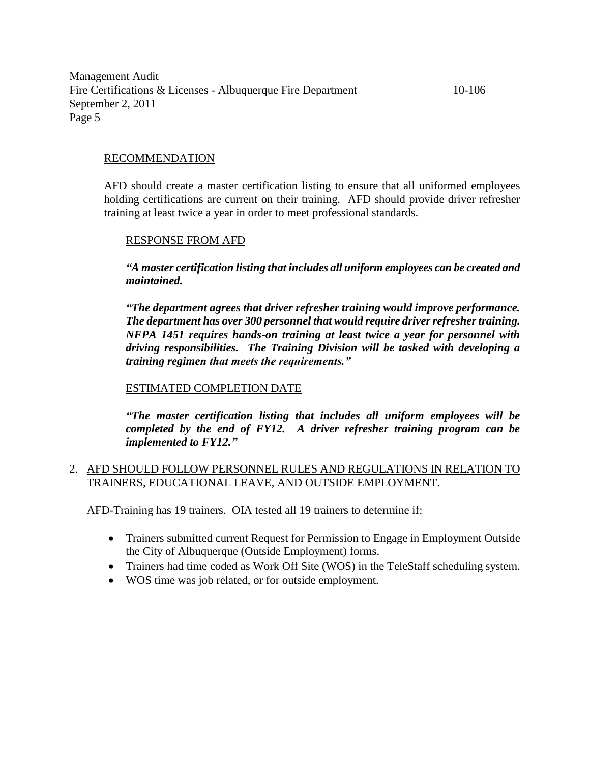#### RECOMMENDATION

AFD should create a master certification listing to ensure that all uniformed employees holding certifications are current on their training. AFD should provide driver refresher training at least twice a year in order to meet professional standards.

#### RESPONSE FROM AFD

*"A master certification listing that includes all uniform employees can be created and maintained.* 

*"The department agrees that driver refresher training would improve performance. The department has over 300 personnel that would require driver refresher training. NFPA 1451 requires hands-on training at least twice a year for personnel with driving responsibilities. The Training Division will be tasked with developing a training regimen that meets the requirements."*

## ESTIMATED COMPLETION DATE

*"The master certification listing that includes all uniform employees will be completed by the end of FY12. A driver refresher training program can be implemented to FY12."*

## 2. AFD SHOULD FOLLOW PERSONNEL RULES AND REGULATIONS IN RELATION TO TRAINERS, EDUCATIONAL LEAVE, AND OUTSIDE EMPLOYMENT.

AFD-Training has 19 trainers. OIA tested all 19 trainers to determine if:

- Trainers submitted current Request for Permission to Engage in Employment Outside the City of Albuquerque (Outside Employment) forms.
- Trainers had time coded as Work Off Site (WOS) in the TeleStaff scheduling system.
- WOS time was job related, or for outside employment.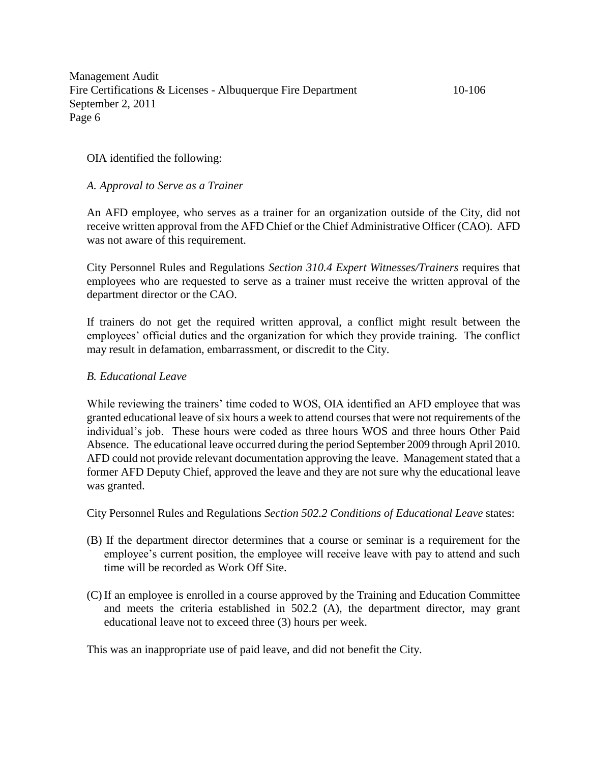## OIA identified the following:

#### *A. Approval to Serve as a Trainer*

An AFD employee, who serves as a trainer for an organization outside of the City, did not receive written approval from the AFD Chief or the Chief Administrative Officer (CAO). AFD was not aware of this requirement.

City Personnel Rules and Regulations *Section 310.4 Expert Witnesses/Trainers* requires that employees who are requested to serve as a trainer must receive the written approval of the department director or the CAO.

If trainers do not get the required written approval, a conflict might result between the employees' official duties and the organization for which they provide training. The conflict may result in defamation, embarrassment, or discredit to the City.

## *B. Educational Leave*

While reviewing the trainers' time coded to WOS, OIA identified an AFD employee that was granted educational leave of six hours a week to attend courses that were not requirements of the individual's job. These hours were coded as three hours WOS and three hours Other Paid Absence. The educational leave occurred during the period September 2009 through April 2010. AFD could not provide relevant documentation approving the leave. Management stated that a former AFD Deputy Chief, approved the leave and they are not sure why the educational leave was granted.

City Personnel Rules and Regulations *Section 502.2 Conditions of Educational Leave* states:

- (B) If the department director determines that a course or seminar is a requirement for the employee's current position, the employee will receive leave with pay to attend and such time will be recorded as Work Off Site.
- (C) If an employee is enrolled in a course approved by the Training and Education Committee and meets the criteria established in 502.2 (A), the department director, may grant educational leave not to exceed three (3) hours per week.

This was an inappropriate use of paid leave, and did not benefit the City.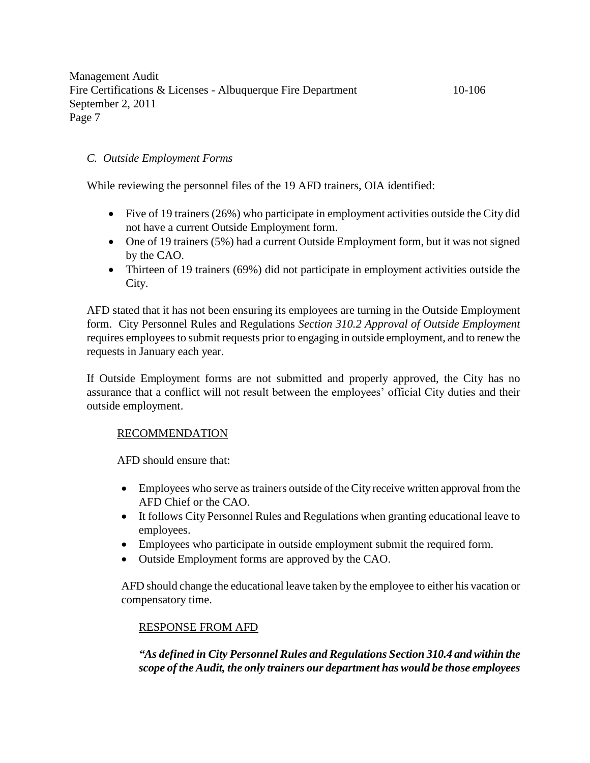## *C. Outside Employment Forms*

While reviewing the personnel files of the 19 AFD trainers, OIA identified:

- Five of 19 trainers (26%) who participate in employment activities outside the City did not have a current Outside Employment form.
- One of 19 trainers (5%) had a current Outside Employment form, but it was not signed by the CAO.
- Thirteen of 19 trainers (69%) did not participate in employment activities outside the City.

AFD stated that it has not been ensuring its employees are turning in the Outside Employment form. City Personnel Rules and Regulations *Section 310.2 Approval of Outside Employment* requires employees to submit requests prior to engaging in outside employment, and to renew the requests in January each year.

If Outside Employment forms are not submitted and properly approved, the City has no assurance that a conflict will not result between the employees' official City duties and their outside employment.

## RECOMMENDATION

AFD should ensure that:

- Employees who serve as trainers outside of the City receive written approval from the AFD Chief or the CAO.
- It follows City Personnel Rules and Regulations when granting educational leave to employees.
- Employees who participate in outside employment submit the required form.
- Outside Employment forms are approved by the CAO.

AFD should change the educational leave taken by the employee to either his vacation or compensatory time.

## RESPONSE FROM AFD

*"As defined in City Personnel Rules and Regulations Section 310.4 and within the scope of the Audit, the only trainers our department has would be those employees*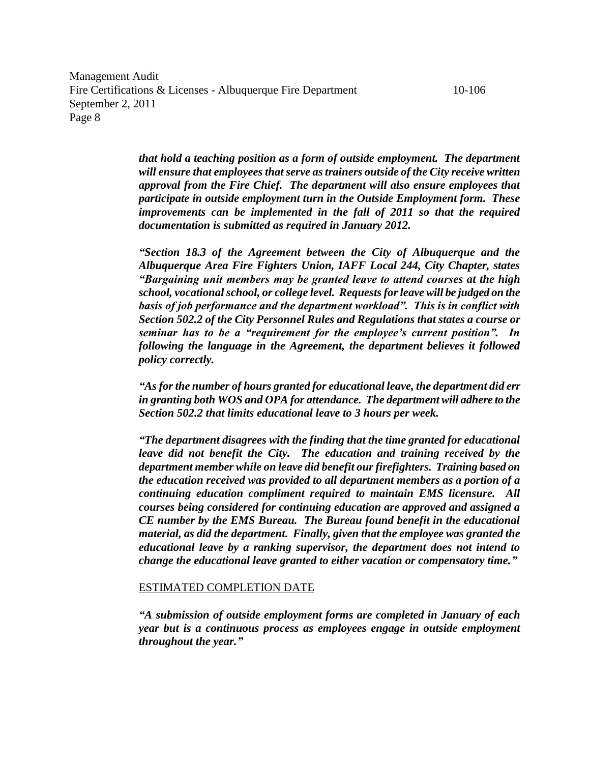*that hold a teaching position as a form of outside employment. The department will ensure that employees that serve as trainers outside of the City receive written approval from the Fire Chief. The department will also ensure employees that participate in outside employment turn in the Outside Employment form. These improvements can be implemented in the fall of 2011 so that the required documentation is submitted as required in January 2012.*

*"Section 18.3 of the Agreement between the City of Albuquerque and the Albuquerque Area Fire Fighters Union, IAFF Local 244, City Chapter, states "Bargaining unit members may be granted leave to attend courses at the high school, vocational school, or college level. Requests for leave will be judged on the basis of job performance and the department workload". This is in conflict with Section 502.2 of the City Personnel Rules and Regulations that states a course or seminar has to be a "requirement for the employee's current position". In following the language in the Agreement, the department believes it followed policy correctly.*

*"As for the number of hours granted for educational leave, the department did err in granting both WOS and OPA for attendance. The department will adhere to the Section 502.2 that limits educational leave to 3 hours per week.*

*"The department disagrees with the finding that the time granted for educational leave did not benefit the City. The education and training received by the department member while on leave did benefit our firefighters. Training based on the education received was provided to all department members as a portion of a continuing education compliment required to maintain EMS licensure. All courses being considered for continuing education are approved and assigned a CE number by the EMS Bureau. The Bureau found benefit in the educational material, as did the department. Finally, given that the employee was granted the educational leave by a ranking supervisor, the department does not intend to change the educational leave granted to either vacation or compensatory time."*

#### ESTIMATED COMPLETION DATE

*"A submission of outside employment forms are completed in January of each year but is a continuous process as employees engage in outside employment throughout the year."*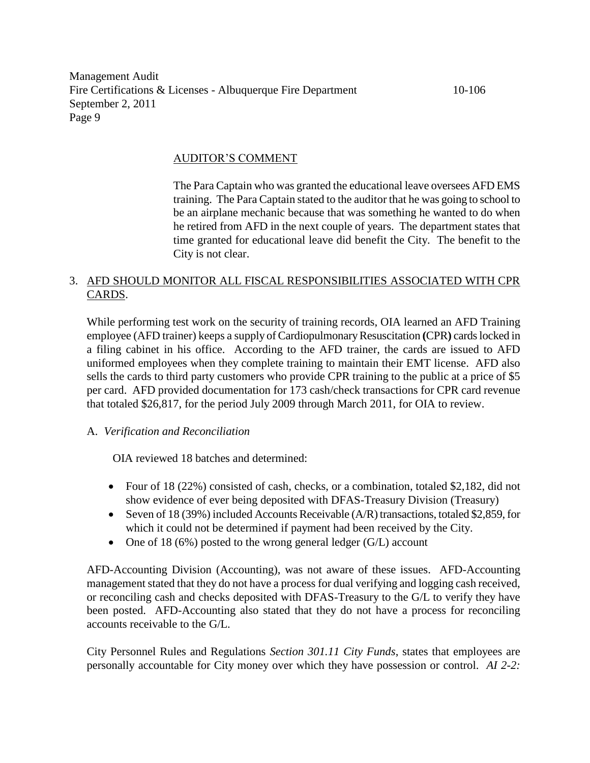## AUDITOR'S COMMENT

The Para Captain who was granted the educational leave oversees AFD EMS training. The Para Captain stated to the auditor that he was going to school to be an airplane mechanic because that was something he wanted to do when he retired from AFD in the next couple of years. The department states that time granted for educational leave did benefit the City. The benefit to the City is not clear.

## 3. AFD SHOULD MONITOR ALL FISCAL RESPONSIBILITIES ASSOCIATED WITH CPR CARDS.

While performing test work on the security of training records, OIA learned an AFD Training employee (AFD trainer) keeps a supply of Cardiopulmonary Resuscitation **(**CPR**)** cards locked in a filing cabinet in his office. According to the AFD trainer, the cards are issued to AFD uniformed employees when they complete training to maintain their EMT license. AFD also sells the cards to third party customers who provide CPR training to the public at a price of \$5 per card. AFD provided documentation for 173 cash/check transactions for CPR card revenue that totaled \$26,817, for the period July 2009 through March 2011, for OIA to review.

## A. *Verification and Reconciliation*

OIA reviewed 18 batches and determined:

- Four of 18 (22%) consisted of cash, checks, or a combination, totaled \$2,182, did not show evidence of ever being deposited with DFAS-Treasury Division (Treasury)
- Seven of 18 (39%) included Accounts Receivable  $(A/R)$  transactions, totaled \$2,859, for which it could not be determined if payment had been received by the City.
- One of 18 (6%) posted to the wrong general ledger (G/L) account

AFD-Accounting Division (Accounting), was not aware of these issues. AFD-Accounting management stated that they do not have a process for dual verifying and logging cash received, or reconciling cash and checks deposited with DFAS-Treasury to the G/L to verify they have been posted. AFD-Accounting also stated that they do not have a process for reconciling accounts receivable to the G/L.

City Personnel Rules and Regulations *Section 301.11 City Funds*, states that employees are personally accountable for City money over which they have possession or control. *AI 2-2:*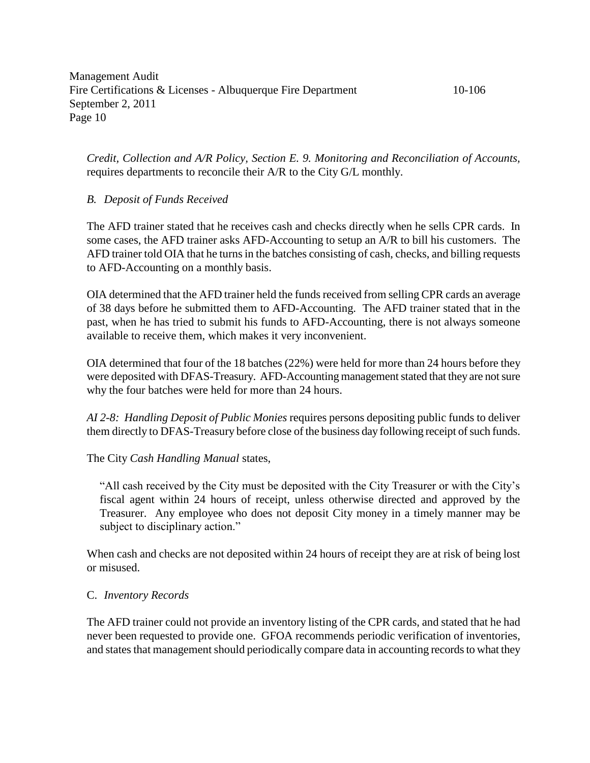*Credit, Collection and A/R Policy, Section E. 9. Monitoring and Reconciliation of Accounts,* requires departments to reconcile their A/R to the City G/L monthly.

## *B. Deposit of Funds Received*

The AFD trainer stated that he receives cash and checks directly when he sells CPR cards. In some cases, the AFD trainer asks AFD-Accounting to setup an A/R to bill his customers. The AFD trainer told OIA that he turns in the batches consisting of cash, checks, and billing requests to AFD-Accounting on a monthly basis.

OIA determined that the AFD trainer held the funds received from selling CPR cards an average of 38 days before he submitted them to AFD-Accounting. The AFD trainer stated that in the past, when he has tried to submit his funds to AFD-Accounting, there is not always someone available to receive them, which makes it very inconvenient.

OIA determined that four of the 18 batches (22%) were held for more than 24 hours before they were deposited with DFAS-Treasury. AFD-Accounting management stated that they are not sure why the four batches were held for more than 24 hours.

*AI 2-8: Handling Deposit of Public Monies* requires persons depositing public funds to deliver them directly to DFAS-Treasury before close of the business day following receipt of such funds.

## The City *Cash Handling Manual* states,

"All cash received by the City must be deposited with the City Treasurer or with the City's fiscal agent within 24 hours of receipt, unless otherwise directed and approved by the Treasurer. Any employee who does not deposit City money in a timely manner may be subject to disciplinary action."

When cash and checks are not deposited within 24 hours of receipt they are at risk of being lost or misused.

## C. *Inventory Records*

The AFD trainer could not provide an inventory listing of the CPR cards, and stated that he had never been requested to provide one. GFOA recommends periodic verification of inventories, and states that management should periodically compare data in accounting records to what they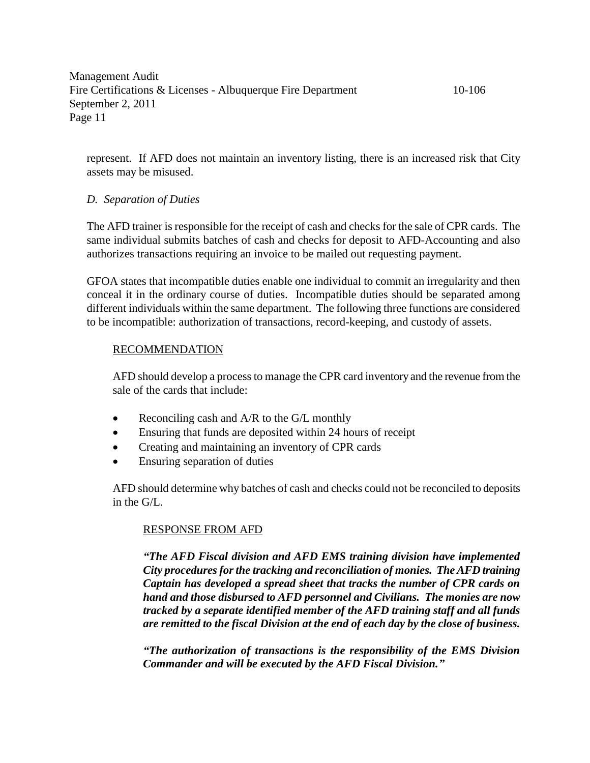represent. If AFD does not maintain an inventory listing, there is an increased risk that City assets may be misused.

## *D. Separation of Duties*

The AFD trainer is responsible for the receipt of cash and checks for the sale of CPR cards. The same individual submits batches of cash and checks for deposit to AFD-Accounting and also authorizes transactions requiring an invoice to be mailed out requesting payment.

GFOA states that incompatible duties enable one individual to commit an irregularity and then conceal it in the ordinary course of duties. Incompatible duties should be separated among different individuals within the same department. The following three functions are considered to be incompatible: authorization of transactions, record-keeping, and custody of assets.

## RECOMMENDATION

AFD should develop a process to manage the CPR card inventory and the revenue from the sale of the cards that include:

- Reconciling cash and  $A/R$  to the  $G/L$  monthly
- Ensuring that funds are deposited within 24 hours of receipt
- Creating and maintaining an inventory of CPR cards
- Ensuring separation of duties

AFD should determine why batches of cash and checks could not be reconciled to deposits in the G/L.

## RESPONSE FROM AFD

*"The AFD Fiscal division and AFD EMS training division have implemented City procedures for the tracking and reconciliation of monies. The AFD training Captain has developed a spread sheet that tracks the number of CPR cards on hand and those disbursed to AFD personnel and Civilians. The monies are now tracked by a separate identified member of the AFD training staff and all funds are remitted to the fiscal Division at the end of each day by the close of business.*

*"The authorization of transactions is the responsibility of the EMS Division Commander and will be executed by the AFD Fiscal Division."*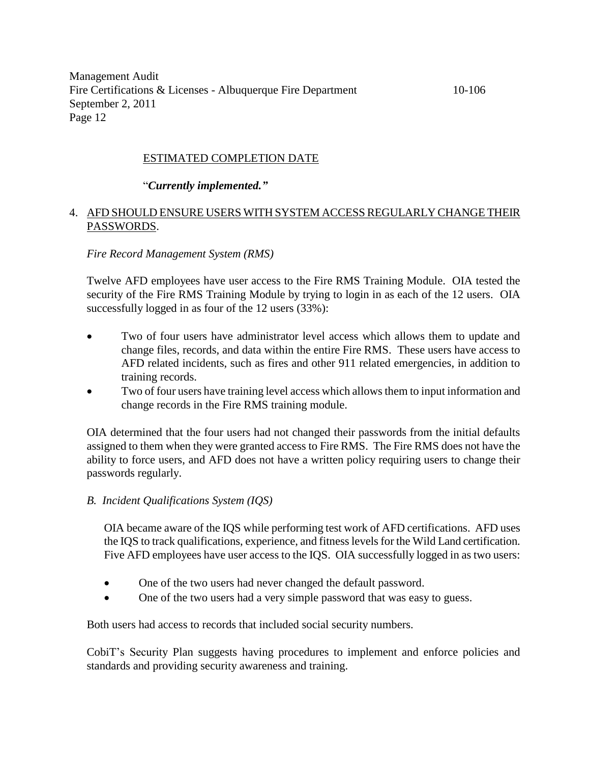## ESTIMATED COMPLETION DATE

## "*Currently implemented."*

## 4. AFD SHOULD ENSURE USERS WITH SYSTEM ACCESS REGULARLY CHANGE THEIR PASSWORDS.

#### *Fire Record Management System (RMS)*

Twelve AFD employees have user access to the Fire RMS Training Module. OIA tested the security of the Fire RMS Training Module by trying to login in as each of the 12 users. OIA successfully logged in as four of the 12 users  $(33%)$ :

- Two of four users have administrator level access which allows them to update and change files, records, and data within the entire Fire RMS. These users have access to AFD related incidents, such as fires and other 911 related emergencies, in addition to training records.
- Two of four users have training level access which allows them to input information and change records in the Fire RMS training module.

OIA determined that the four users had not changed their passwords from the initial defaults assigned to them when they were granted access to Fire RMS. The Fire RMS does not have the ability to force users, and AFD does not have a written policy requiring users to change their passwords regularly.

## *B. Incident Qualifications System (IQS)*

OIA became aware of the IQS while performing test work of AFD certifications. AFD uses the IQS to track qualifications, experience, and fitness levels for the Wild Land certification. Five AFD employees have user access to the IQS. OIA successfully logged in as two users:

- One of the two users had never changed the default password.
- One of the two users had a very simple password that was easy to guess.

Both users had access to records that included social security numbers.

CobiT's Security Plan suggests having procedures to implement and enforce policies and standards and providing security awareness and training.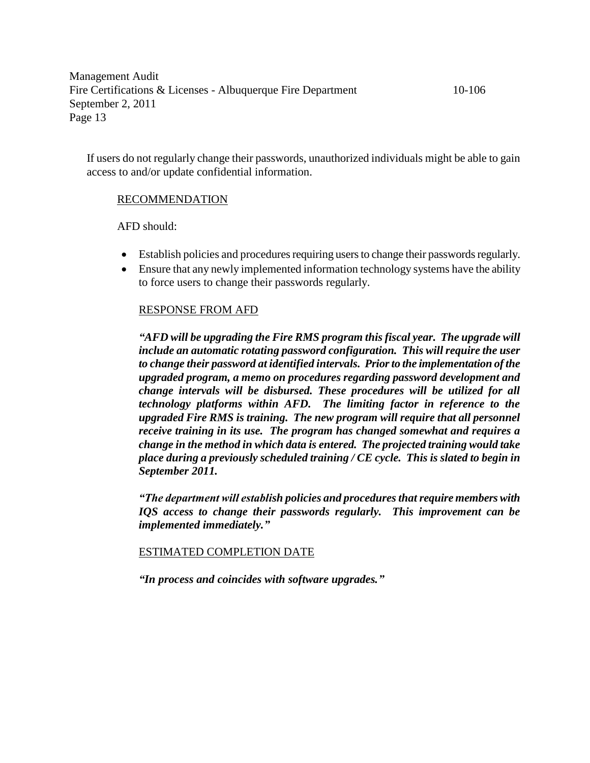If users do not regularly change their passwords, unauthorized individuals might be able to gain access to and/or update confidential information.

## RECOMMENDATION

AFD should:

- Establish policies and procedures requiring users to change their passwordsregularly.
- Ensure that any newly implemented information technology systems have the ability to force users to change their passwords regularly.

## RESPONSE FROM AFD

*"AFD will be upgrading the Fire RMS program this fiscal year. The upgrade will include an automatic rotating password configuration. This will require the user to change their password at identified intervals. Prior to the implementation of the upgraded program, a memo on procedures regarding password development and change intervals will be disbursed. These procedures will be utilized for all technology platforms within AFD. The limiting factor in reference to the upgraded Fire RMS is training. The new program will require that all personnel receive training in its use. The program has changed somewhat and requires a change in the method in which data is entered. The projected training would take place during a previously scheduled training / CE cycle. This is slated to begin in September 2011.*

*"The department will establish policies and procedures that require members with IQS access to change their passwords regularly. This improvement can be implemented immediately."*

## ESTIMATED COMPLETION DATE

*"In process and coincides with software upgrades."*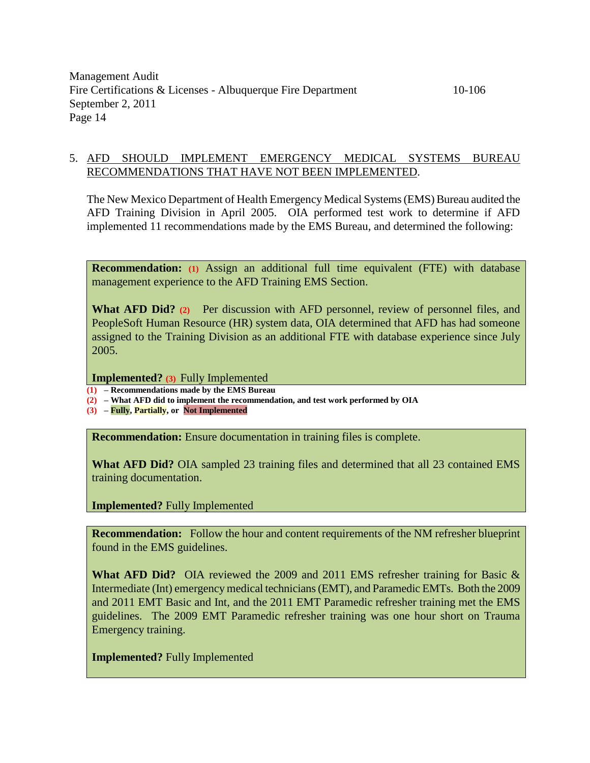## 5. AFD SHOULD IMPLEMENT EMERGENCY MEDICAL SYSTEMS BUREAU RECOMMENDATIONS THAT HAVE NOT BEEN IMPLEMENTED.

The New Mexico Department of Health Emergency Medical Systems (EMS) Bureau audited the AFD Training Division in April 2005. OIA performed test work to determine if AFD implemented 11 recommendations made by the EMS Bureau, and determined the following:

**Recommendation:** (1) Assign an additional full time equivalent (FTE) with database management experience to the AFD Training EMS Section.

**What AFD Did? (2)** Per discussion with AFD personnel, review of personnel files, and PeopleSoft Human Resource (HR) system data, OIA determined that AFD has had someone assigned to the Training Division as an additional FTE with database experience since July 2005.

**Implemented? (3)** Fully Implemented

- **(1) – Recommendations made by the EMS Bureau**
- **(2) – What AFD did to implement the recommendation, and test work performed by OIA**
- **(3) – Fully, Partially, or Not Implemented**

**Recommendation:** Ensure documentation in training files is complete.

**What AFD Did?** OIA sampled 23 training files and determined that all 23 contained EMS training documentation.

**Implemented?** Fully Implemented

**Recommendation:** Follow the hour and content requirements of the NM refresher blueprint found in the EMS guidelines.

**What AFD Did?** OIA reviewed the 2009 and 2011 EMS refresher training for Basic & Intermediate (Int) emergency medical technicians (EMT), and Paramedic EMTs. Both the 2009 and 2011 EMT Basic and Int, and the 2011 EMT Paramedic refresher training met the EMS guidelines. The 2009 EMT Paramedic refresher training was one hour short on Trauma Emergency training.

**Implemented?** Fully Implemented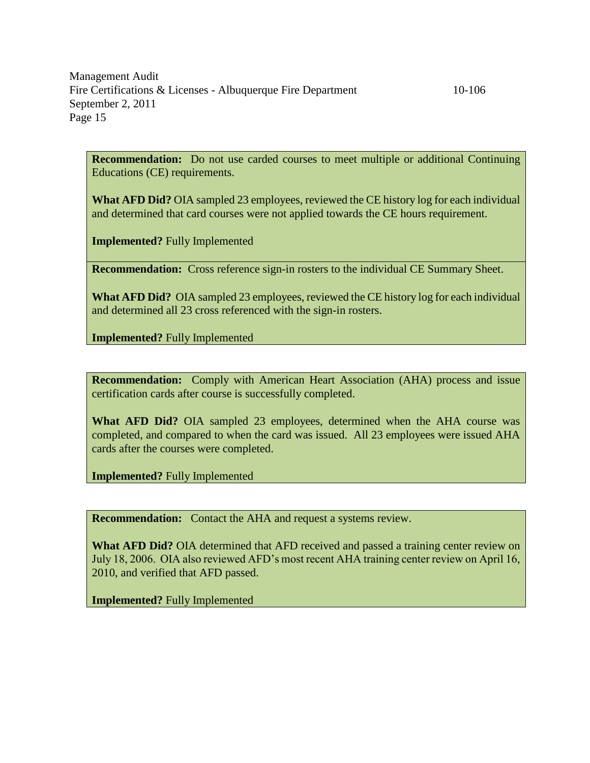**Recommendation:** Do not use carded courses to meet multiple or additional Continuing Educations (CE) requirements.

**What AFD Did?** OIA sampled 23 employees, reviewed the CE history log for each individual and determined that card courses were not applied towards the CE hours requirement.

**Implemented?** Fully Implemented

**Recommendation:** Cross reference sign-in rosters to the individual CE Summary Sheet.

**What AFD Did?** OIA sampled 23 employees, reviewed the CE history log for each individual and determined all 23 cross referenced with the sign-in rosters.

**Implemented?** Fully Implemented

**Recommendation:** Comply with American Heart Association (AHA) process and issue certification cards after course is successfully completed.

**What AFD Did?** OIA sampled 23 employees, determined when the AHA course was completed, and compared to when the card was issued. All 23 employees were issued AHA cards after the courses were completed.

**Implemented?** Fully Implemented

**Recommendation:** Contact the AHA and request a systems review.

**What AFD Did?** OIA determined that AFD received and passed a training center review on July 18, 2006. OIA also reviewed AFD's most recent AHA training center review on April 16, 2010, and verified that AFD passed.

**Implemented?** Fully Implemented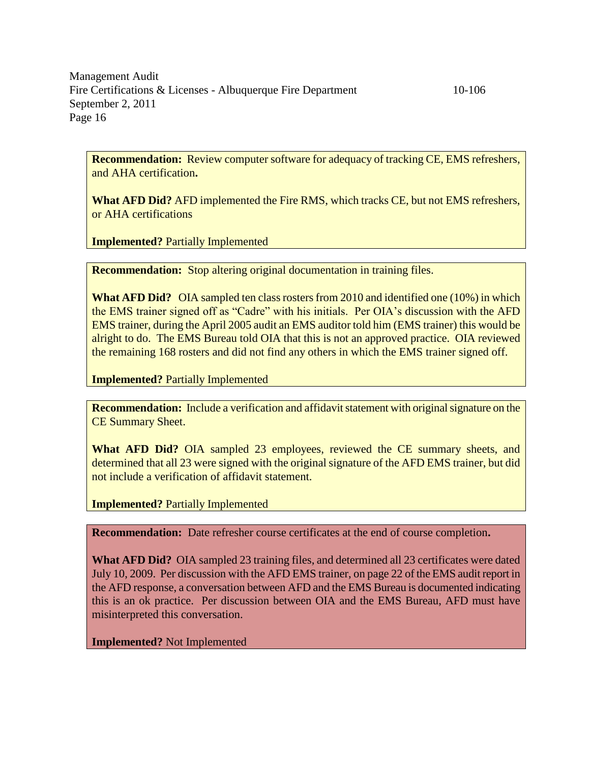**Recommendation:** Review computer software for adequacy of tracking CE, EMS refreshers, and AHA certification**.**

**What AFD Did?** AFD implemented the Fire RMS, which tracks CE, but not EMS refreshers, or AHA certifications

**Implemented?** Partially Implemented

**Recommendation:** Stop altering original documentation in training files.

**What AFD Did?** OIA sampled ten class rosters from 2010 and identified one (10%) in which the EMS trainer signed off as "Cadre" with his initials. Per OIA's discussion with the AFD EMS trainer, during the April 2005 audit an EMS auditor told him (EMS trainer) this would be alright to do. The EMS Bureau told OIA that this is not an approved practice. OIA reviewed the remaining 168 rosters and did not find any others in which the EMS trainer signed off.

**Implemented?** Partially Implemented

**Recommendation:** Include a verification and affidavit statement with original signature on the CE Summary Sheet.

**What AFD Did?** OIA sampled 23 employees, reviewed the CE summary sheets, and determined that all 23 were signed with the original signature of the AFD EMS trainer, but did not include a verification of affidavit statement.

**Implemented?** Partially Implemented

**Recommendation:** Date refresher course certificates at the end of course completion**.**

**What AFD Did?** OIA sampled 23 training files, and determined all 23 certificates were dated July 10, 2009. Per discussion with the AFD EMS trainer, on page 22 of the EMS audit report in the AFD response, a conversation between AFD and the EMS Bureau is documented indicating this is an ok practice. Per discussion between OIA and the EMS Bureau, AFD must have misinterpreted this conversation.

**Implemented?** Not Implemented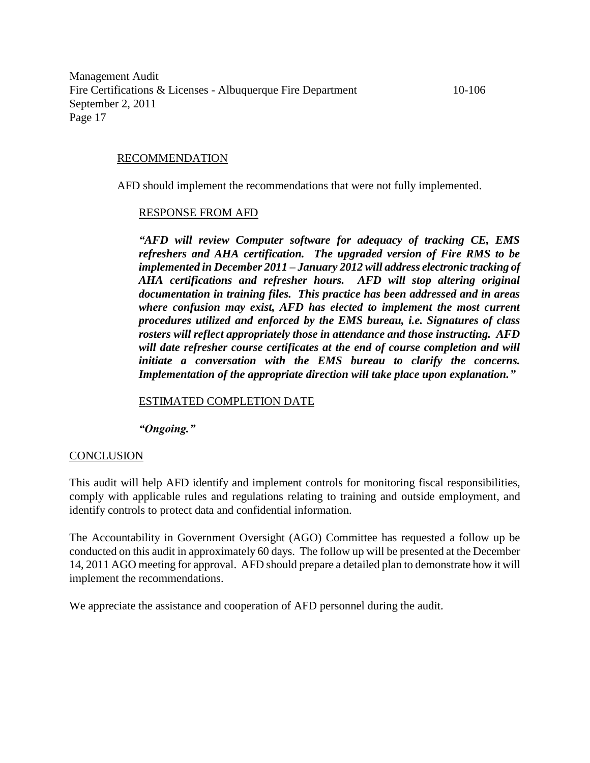#### RECOMMENDATION

AFD should implement the recommendations that were not fully implemented.

#### RESPONSE FROM AFD

*"AFD will review Computer software for adequacy of tracking CE, EMS refreshers and AHA certification. The upgraded version of Fire RMS to be implemented in December 2011 – January 2012 will address electronic tracking of AHA certifications and refresher hours. AFD will stop altering original documentation in training files. This practice has been addressed and in areas where confusion may exist, AFD has elected to implement the most current procedures utilized and enforced by the EMS bureau, i.e. Signatures of class rosters will reflect appropriately those in attendance and those instructing. AFD will date refresher course certificates at the end of course completion and will initiate a conversation with the EMS bureau to clarify the concerns. Implementation of the appropriate direction will take place upon explanation."*

## ESTIMATED COMPLETION DATE

*"Ongoing."*

## **CONCLUSION**

This audit will help AFD identify and implement controls for monitoring fiscal responsibilities, comply with applicable rules and regulations relating to training and outside employment, and identify controls to protect data and confidential information.

The Accountability in Government Oversight (AGO) Committee has requested a follow up be conducted on this audit in approximately 60 days. The follow up will be presented at the December 14, 2011 AGO meeting for approval. AFD should prepare a detailed plan to demonstrate how it will implement the recommendations.

We appreciate the assistance and cooperation of AFD personnel during the audit.